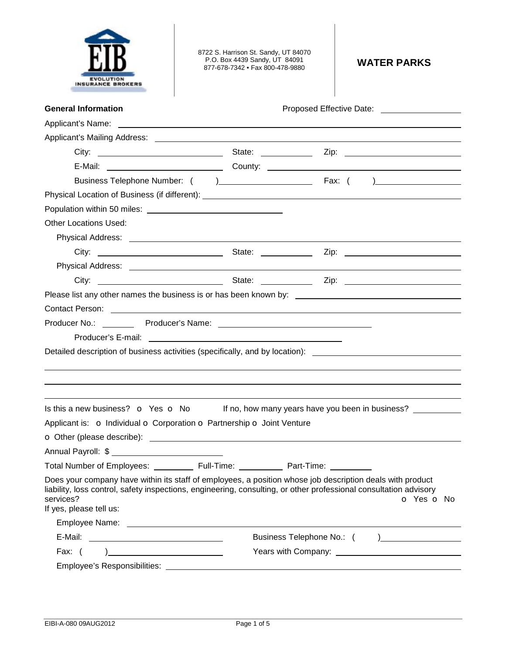

8722 S. Harrison St. Sandy, UT 84070 P.O. Box 4439 Sandy, UT 84091 877-678-7342 • Fax 800-478-9880 **WATER PARKS** 

| <b>General Information</b>                                                                                                                                                                                                                                             | Proposed Effective Date: ____________________                                                                  |
|------------------------------------------------------------------------------------------------------------------------------------------------------------------------------------------------------------------------------------------------------------------------|----------------------------------------------------------------------------------------------------------------|
| Applicant's Name: <u>example and the set of the set of the set of the set of the set of the set of the set of the set of the set of the set of the set of the set of the set of the set of the set of the set of the set of the </u>                                   |                                                                                                                |
| Applicant's Mailing Address: _____                                                                                                                                                                                                                                     |                                                                                                                |
|                                                                                                                                                                                                                                                                        |                                                                                                                |
|                                                                                                                                                                                                                                                                        |                                                                                                                |
|                                                                                                                                                                                                                                                                        |                                                                                                                |
|                                                                                                                                                                                                                                                                        |                                                                                                                |
|                                                                                                                                                                                                                                                                        |                                                                                                                |
| <b>Other Locations Used:</b>                                                                                                                                                                                                                                           |                                                                                                                |
|                                                                                                                                                                                                                                                                        |                                                                                                                |
|                                                                                                                                                                                                                                                                        |                                                                                                                |
|                                                                                                                                                                                                                                                                        |                                                                                                                |
|                                                                                                                                                                                                                                                                        |                                                                                                                |
|                                                                                                                                                                                                                                                                        |                                                                                                                |
| Contact Person: <u>Quality Contact Person:</u> Quality Contact Person: Quality Contact Person: Quality Contact Person:                                                                                                                                                 |                                                                                                                |
|                                                                                                                                                                                                                                                                        |                                                                                                                |
|                                                                                                                                                                                                                                                                        |                                                                                                                |
|                                                                                                                                                                                                                                                                        | Detailed description of business activities (specifically, and by location): _________________________________ |
|                                                                                                                                                                                                                                                                        |                                                                                                                |
|                                                                                                                                                                                                                                                                        |                                                                                                                |
|                                                                                                                                                                                                                                                                        |                                                                                                                |
| Is this a new business? <b>o</b> Yes <b>o</b> No                                                                                                                                                                                                                       | If no, how many years have you been in business?                                                               |
| Applicant is: o Individual o Corporation o Partnership o Joint Venture                                                                                                                                                                                                 |                                                                                                                |
|                                                                                                                                                                                                                                                                        |                                                                                                                |
| Annual Payroll: \$                                                                                                                                                                                                                                                     |                                                                                                                |
| Total Number of Employees: ____________ Full-Time: _____________ Part-Time:                                                                                                                                                                                            |                                                                                                                |
| Does your company have within its staff of employees, a position whose job description deals with product<br>liability, loss control, safety inspections, engineering, consulting, or other professional consultation advisory<br>services?<br>If yes, please tell us: | O Yes O No                                                                                                     |
|                                                                                                                                                                                                                                                                        |                                                                                                                |
|                                                                                                                                                                                                                                                                        |                                                                                                                |
| Fax: $( )$                                                                                                                                                                                                                                                             |                                                                                                                |
| Employee's Responsibilities: ______________                                                                                                                                                                                                                            |                                                                                                                |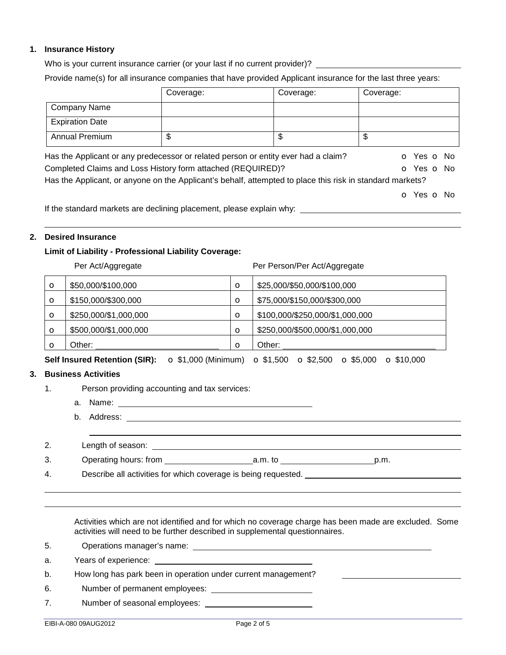## **1. Insurance History**

Who is your current insurance carrier (or your last if no current provider)? \_\_\_\_\_\_\_\_\_\_\_\_\_\_\_\_\_\_\_\_\_\_\_\_\_\_\_\_\_\_\_\_\_

Provide name(s) for all insurance companies that have provided Applicant insurance for the last three years:

|                                                                                                           | Coverage: | Coverage: | Coverage:  |  |
|-----------------------------------------------------------------------------------------------------------|-----------|-----------|------------|--|
| <b>Company Name</b>                                                                                       |           |           |            |  |
| <b>Expiration Date</b>                                                                                    |           |           |            |  |
| <b>Annual Premium</b>                                                                                     | \$        | \$        | \$         |  |
| Has the Applicant or any predecessor or related person or entity ever had a claim?<br>O Yes O No          |           |           |            |  |
| Completed Claims and Loss History form attached (REQUIRED)?<br>O Yes O No                                 |           |           |            |  |
| Has the Applicant, or anyone on the Applicant's behalf, attempted to place this risk in standard markets? |           |           |            |  |
|                                                                                                           |           |           | O Yes O No |  |
| If the standard markets are declining placement, please explain why:                                      |           |           |            |  |

# **2. Desired Insurance**

## **Limit of Liability - Professional Liability Coverage:**

| Per Act/Aggregate |                       |         | Per Person/Per Act/Aggregate    |  |
|-------------------|-----------------------|---------|---------------------------------|--|
| $\circ$           | \$50,000/\$100,000    | $\circ$ | \$25,000/\$50,000/\$100,000     |  |
| $\circ$           | \$150,000/\$300,000   | $\circ$ | \$75,000/\$150,000/\$300,000    |  |
| $\circ$           | \$250,000/\$1,000,000 | $\circ$ | \$100,000/\$250,000/\$1,000,000 |  |
| $\circ$           | \$500,000/\$1,000,000 | $\circ$ | \$250,000/\$500,000/\$1,000,000 |  |
| Ω                 | Other:                | $\circ$ | Other:                          |  |

**Self Insured Retention (SIR):** o \$1,000 (Minimum) o \$1,500 o \$2,500 o \$5,000 o \$10,000

### **3. Business Activities**

- 1. Person providing accounting and tax services:
	- a. Name:
	- b. Address:

 

| ۷. | Length of season:     |         |      |
|----|-----------------------|---------|------|
| ა. | Operating hours: from | a.m. tc | p.m. |

4. Describe all activities for which coverage is being requested.

Activities which are not identified and for which no coverage charge has been made are excluded. Some activities will need to be further described in supplemental questionnaires.

5. Operations manager's name:

a. Years of experience:

- b. How long has park been in operation under current management?
- 6. Number of permanent employees:
- 7. Number of seasonal employees: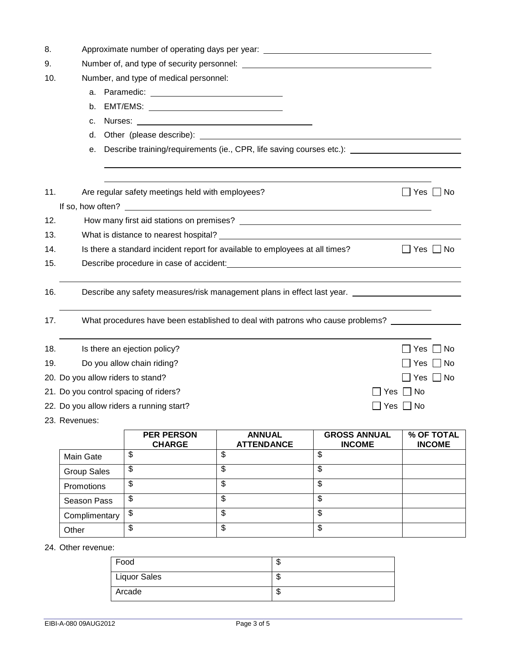| 8.         | Approximate number of operating days per year: _________________________________ |                                                                              |                                    |                                                                                                                                                                                                                                |                             |  |
|------------|----------------------------------------------------------------------------------|------------------------------------------------------------------------------|------------------------------------|--------------------------------------------------------------------------------------------------------------------------------------------------------------------------------------------------------------------------------|-----------------------------|--|
| 9.         |                                                                                  |                                                                              |                                    |                                                                                                                                                                                                                                |                             |  |
| 10.        |                                                                                  | Number, and type of medical personnel:                                       |                                    |                                                                                                                                                                                                                                |                             |  |
|            |                                                                                  |                                                                              |                                    |                                                                                                                                                                                                                                |                             |  |
|            | b.                                                                               |                                                                              |                                    |                                                                                                                                                                                                                                |                             |  |
|            | c.                                                                               |                                                                              |                                    |                                                                                                                                                                                                                                |                             |  |
|            | d.                                                                               |                                                                              |                                    |                                                                                                                                                                                                                                |                             |  |
|            | е.                                                                               |                                                                              |                                    | Describe training/requirements (ie., CPR, life saving courses etc.): __________________                                                                                                                                        |                             |  |
| 11.        |                                                                                  | Are regular safety meetings held with employees?                             |                                    |                                                                                                                                                                                                                                | Yes  <br>  No               |  |
|            |                                                                                  |                                                                              |                                    |                                                                                                                                                                                                                                |                             |  |
| 12.        |                                                                                  |                                                                              |                                    |                                                                                                                                                                                                                                |                             |  |
| 13.<br>14. |                                                                                  | Is there a standard incident report for available to employees at all times? |                                    |                                                                                                                                                                                                                                | Yes  No                     |  |
| 15.        |                                                                                  |                                                                              |                                    | Describe procedure in case of accident: North American Contract of American Contract of American Contract of American Contract of American Contract of American Contract of American Contract of American Contract of American |                             |  |
|            |                                                                                  |                                                                              |                                    |                                                                                                                                                                                                                                |                             |  |
| 16.        |                                                                                  |                                                                              |                                    | Describe any safety measures/risk management plans in effect last year.                                                                                                                                                        |                             |  |
| 17.        |                                                                                  |                                                                              |                                    | What procedures have been established to deal with patrons who cause problems?                                                                                                                                                 |                             |  |
| 18.        |                                                                                  | Is there an ejection policy?                                                 |                                    |                                                                                                                                                                                                                                | No<br>Yes                   |  |
| 19.        | Do you allow chain riding?<br>Yes                                                |                                                                              |                                    |                                                                                                                                                                                                                                | No                          |  |
|            | 20. Do you allow riders to stand?                                                |                                                                              |                                    |                                                                                                                                                                                                                                | $\Box$ Yes $\Box$ No        |  |
|            | 21. Do you control spacing of riders?<br>Yes $\Box$ No                           |                                                                              |                                    |                                                                                                                                                                                                                                |                             |  |
|            | 22. Do you allow riders a running start?<br>Yes $\Box$ No                        |                                                                              |                                    |                                                                                                                                                                                                                                |                             |  |
|            | 23. Revenues:                                                                    |                                                                              |                                    |                                                                                                                                                                                                                                |                             |  |
|            |                                                                                  | <b>PER PERSON</b><br><b>CHARGE</b>                                           | <b>ANNUAL</b><br><b>ATTENDANCE</b> | <b>GROSS ANNUAL</b><br><b>INCOME</b>                                                                                                                                                                                           | % OF TOTAL<br><b>INCOME</b> |  |
|            | <b>Main Gate</b>                                                                 | \$                                                                           | \$                                 | \$                                                                                                                                                                                                                             |                             |  |
|            | <b>Group Sales</b>                                                               | \$                                                                           | $\overline{\mathcal{S}}$           | $\overline{\mathbf{S}}$                                                                                                                                                                                                        |                             |  |
|            | Promotions                                                                       | $\overline{\mathcal{S}}$                                                     | $\overline{\mathbb{S}}$            | $\overline{\mathcal{S}}$                                                                                                                                                                                                       |                             |  |
|            | Season Pass                                                                      | \$                                                                           | \$                                 | \$                                                                                                                                                                                                                             |                             |  |
|            | Complimentary                                                                    | \$                                                                           | $\overline{\mathcal{S}}$           | \$                                                                                                                                                                                                                             |                             |  |

24. Other revenue:

| Food                | ٨IJ |
|---------------------|-----|
| <b>Liquor Sales</b> | ۱IJ |
| Arcade              | ۰IJ |

Other  $\begin{array}{|c|c|c|c|c|}\hline \text{S} & \text{S} & \text{S} \end{array}$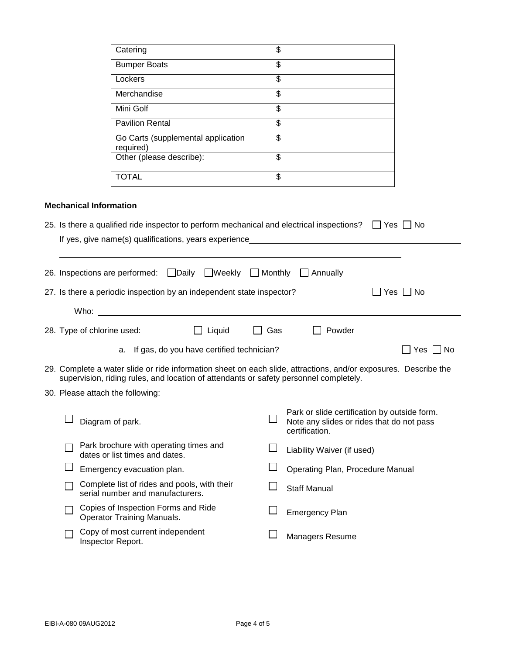|                               | Catering                                                                                                                                                                                           | \$                       |                                                                                                                 |
|-------------------------------|----------------------------------------------------------------------------------------------------------------------------------------------------------------------------------------------------|--------------------------|-----------------------------------------------------------------------------------------------------------------|
|                               | <b>Bumper Boats</b>                                                                                                                                                                                | \$                       |                                                                                                                 |
|                               | Lockers                                                                                                                                                                                            | \$                       |                                                                                                                 |
|                               | Merchandise                                                                                                                                                                                        | $\overline{\mathcal{S}}$ |                                                                                                                 |
|                               | Mini Golf                                                                                                                                                                                          | \$                       |                                                                                                                 |
|                               | <b>Pavilion Rental</b>                                                                                                                                                                             | \$                       |                                                                                                                 |
|                               | Go Carts (supplemental application<br>required)                                                                                                                                                    | \$                       |                                                                                                                 |
|                               | Other (please describe):                                                                                                                                                                           | $\overline{\mathcal{S}}$ |                                                                                                                 |
|                               | <b>TOTAL</b>                                                                                                                                                                                       | \$                       |                                                                                                                 |
| <b>Mechanical Information</b> | 25. Is there a qualified ride inspector to perform mechanical and electrical inspections? $\Box$ Yes $\Box$ No<br>If yes, give name(s) qualifications, years experience___________________________ |                          |                                                                                                                 |
|                               |                                                                                                                                                                                                    |                          |                                                                                                                 |
|                               | 26. Inspections are performed: Daily UWeekly D Monthly D Annually                                                                                                                                  |                          |                                                                                                                 |
|                               | 27. Is there a periodic inspection by an independent state inspector?                                                                                                                              |                          | Yes □ No                                                                                                        |
| Who:                          |                                                                                                                                                                                                    |                          |                                                                                                                 |
|                               |                                                                                                                                                                                                    |                          |                                                                                                                 |
| 28. Type of chlorine used:    | Liquid                                                                                                                                                                                             | Gas                      | Powder                                                                                                          |
|                               | a. If gas, do you have certified technician?                                                                                                                                                       |                          | Yes $\Box$ No                                                                                                   |
|                               | supervision, riding rules, and location of attendants or safety personnel completely.                                                                                                              |                          | 29. Complete a water slide or ride information sheet on each slide, attractions, and/or exposures. Describe the |
|                               | 30. Please attach the following:                                                                                                                                                                   |                          |                                                                                                                 |
|                               | Diagram of park.                                                                                                                                                                                   |                          | Park or slide certification by outside form.<br>Note any slides or rides that do not pass<br>certification.     |
|                               | Park brochure with operating times and<br>dates or list times and dates.                                                                                                                           |                          | Liability Waiver (if used)                                                                                      |
|                               | Emergency evacuation plan.                                                                                                                                                                         |                          | Operating Plan, Procedure Manual                                                                                |
|                               | Complete list of rides and pools, with their<br>serial number and manufacturers.                                                                                                                   |                          | <b>Staff Manual</b>                                                                                             |
|                               | Copies of Inspection Forms and Ride<br><b>Operator Training Manuals.</b>                                                                                                                           |                          | <b>Emergency Plan</b>                                                                                           |
|                               | Copy of most current independent<br>Inspector Report.                                                                                                                                              |                          | Managers Resume                                                                                                 |
|                               |                                                                                                                                                                                                    |                          |                                                                                                                 |